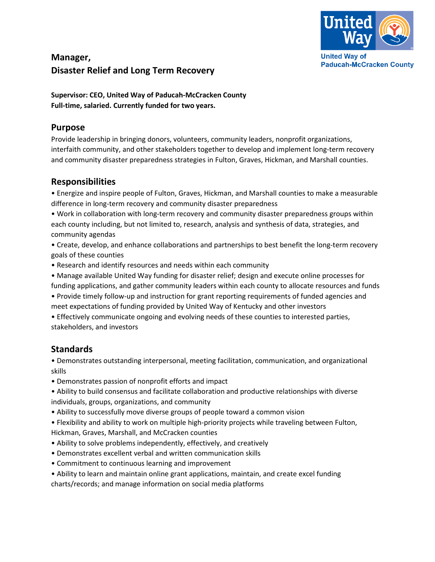

# **Manager, Disaster Relief and Long Term Recovery**

**Supervisor: CEO, United Way of Paducah-McCracken County Full-time, salaried. Currently funded for two years.** 

#### **Purpose**

Provide leadership in bringing donors, volunteers, community leaders, nonprofit organizations, interfaith community, and other stakeholders together to develop and implement long-term recovery and community disaster preparedness strategies in Fulton, Graves, Hickman, and Marshall counties.

#### **Responsibilities**

• Energize and inspire people of Fulton, Graves, Hickman, and Marshall counties to make a measurable difference in long-term recovery and community disaster preparedness

• Work in collaboration with long-term recovery and community disaster preparedness groups within each county including, but not limited to, research, analysis and synthesis of data, strategies, and community agendas

• Create, develop, and enhance collaborations and partnerships to best benefit the long-term recovery goals of these counties

- Research and identify resources and needs within each community
- Manage available United Way funding for disaster relief; design and execute online processes for funding applications, and gather community leaders within each county to allocate resources and funds
- Provide timely follow-up and instruction for grant reporting requirements of funded agencies and meet expectations of funding provided by United Way of Kentucky and other investors

• Effectively communicate ongoing and evolving needs of these counties to interested parties, stakeholders, and investors

## **Standards**

• Demonstrates outstanding interpersonal, meeting facilitation, communication, and organizational skills

• Demonstrates passion of nonprofit efforts and impact

• Ability to build consensus and facilitate collaboration and productive relationships with diverse individuals, groups, organizations, and community

• Ability to successfully move diverse groups of people toward a common vision

• Flexibility and ability to work on multiple high-priority projects while traveling between Fulton, Hickman, Graves, Marshall, and McCracken counties

- Ability to solve problems independently, effectively, and creatively
- Demonstrates excellent verbal and written communication skills
- Commitment to continuous learning and improvement
- Ability to learn and maintain online grant applications, maintain, and create excel funding charts/records; and manage information on social media platforms